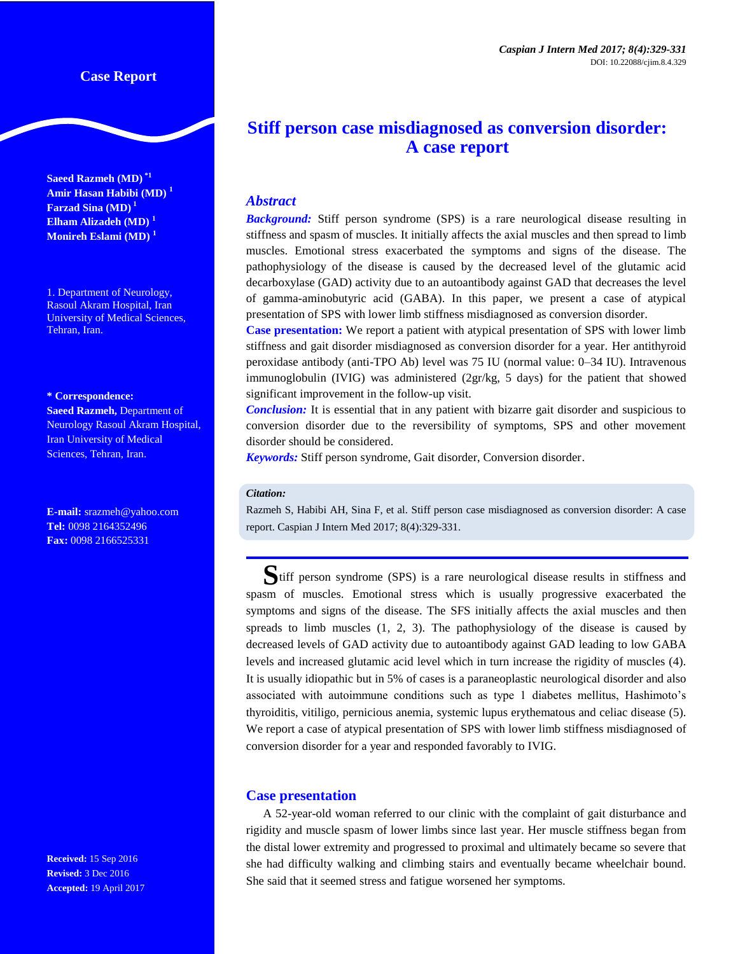**Saeed Razmeh (MD) \*1 Amir Hasan Habibi (MD) <sup>1</sup> Farzad Sina (MD) <sup>1</sup> Elham Alizadeh (MD) <sup>1</sup> Monireh Eslami (MD) <sup>1</sup>**

1. Department of Neurology, Rasoul Akram Hospital, Iran University of Medical Sciences, Tehran, Iran.

#### **\* Correspondence:**

**Saeed Razmeh,** Department of Neurology Rasoul Akram Hospital, Iran University of Medical Sciences, Tehran, Iran.

**E-mail:** srazmeh@yahoo.com **Tel:** 0098 2164352496 **Fax:** 0098 2166525331

**Received:** 15 Sep 2016 **Revised:** 3 Dec 2016 **Accepted:** 19 April 2017

# **Stiff person case misdiagnosed as conversion disorder: A case report**

## *Abstract*

**Background:** Stiff person syndrome (SPS) is a rare neurological disease resulting in stiffness and spasm of muscles. It initially affects the axial muscles and then spread to limb muscles. Emotional stress exacerbated the symptoms and signs of the disease. The pathophysiology of the disease is caused by the decreased level of the glutamic acid decarboxylase (GAD) activity due to an autoantibody against GAD that decreases the level of gamma-aminobutyric acid (GABA). In this paper, we present a case of atypical presentation of SPS with lower limb stiffness misdiagnosed as conversion disorder.

**Case presentation:** We report a patient with atypical presentation of SPS with lower limb stiffness and gait disorder misdiagnosed as conversion disorder for a year. Her antithyroid peroxidase antibody (anti-TPO Ab) level was 75 IU (normal value: 0–34 IU). Intravenous immunoglobulin (IVIG) was administered (2gr/kg, 5 days) for the patient that showed significant improvement in the follow-up visit.

*Conclusion:* It is essential that in any patient with bizarre gait disorder and suspicious to conversion disorder due to the reversibility of symptoms, SPS and other movement disorder should be considered.

*Keywords:* Stiff person syndrome, Gait disorder, Conversion disorder.

#### *Citation:*

Razmeh S, Habibi AH, Sina F, et al. Stiff person case misdiagnosed as conversion disorder: A case report. Caspian J Intern Med 2017; 8(4):329-331.

**S**tiff person syndrome (SPS) is a rare neurological disease results in stiffness and spasm of muscles. Emotional stress which is usually progressive exacerbated the symptoms and signs of the disease. The SFS initially affects the axial muscles and then spreads to limb muscles  $(1, 2, 3)$ . The pathophysiology of the disease is caused by decreased levels of GAD activity due to autoantibody against GAD leading to low GABA levels and increased glutamic acid level which in turn increase the rigidity of muscles (4). It is usually idiopathic but in 5% of cases is a paraneoplastic neurological disorder and also associated with autoimmune conditions such as type 1 diabetes mellitus, Hashimoto's thyroiditis, vitiligo, pernicious anemia, systemic lupus erythematous and celiac disease (5). We report a case of atypical presentation of SPS with lower limb stiffness misdiagnosed of conversion disorder for a year and responded favorably to IVIG.

### **Case presentation**

A 52-year-old woman referred to our clinic with the complaint of gait disturbance and rigidity and muscle spasm of lower limbs since last year. Her muscle stiffness began from the distal lower extremity and progressed to proximal and ultimately became so severe that she had difficulty walking and climbing stairs and eventually became wheelchair bound. She said that it seemed stress and fatigue worsened her symptoms.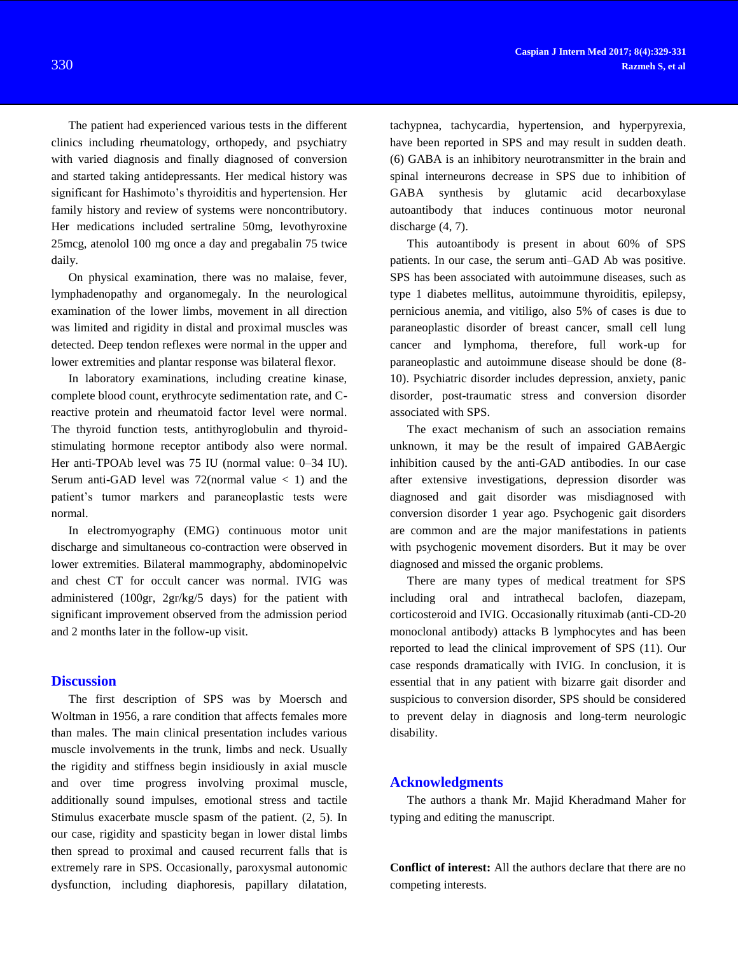The patient had experienced various tests in the different clinics including rheumatology, orthopedy, and psychiatry with varied diagnosis and finally diagnosed of conversion and started taking antidepressants. Her medical history was significant for Hashimoto's thyroiditis and hypertension. Her family history and review of systems were noncontributory. Her medications included sertraline 50mg, levothyroxine 25mcg, atenolol 100 mg once a day and pregabalin 75 twice daily.

On physical examination, there was no malaise, fever, lymphadenopathy and organomegaly. In the neurological examination of the lower limbs, movement in all direction was limited and rigidity in distal and proximal muscles was detected. Deep tendon reflexes were normal in the upper and lower extremities and plantar response was bilateral flexor.

In laboratory examinations, including creatine kinase, complete blood count, erythrocyte sedimentation rate, and Creactive protein and rheumatoid factor level were normal. The thyroid function tests, antithyroglobulin and thyroidstimulating hormone receptor antibody also were normal. Her anti-TPOAb level was 75 IU (normal value: 0–34 IU). Serum anti-GAD level was  $72$ (normal value  $\lt 1$ ) and the patient's tumor markers and paraneoplastic tests were normal.

In electromyography (EMG) continuous motor unit discharge and simultaneous co-contraction were observed in lower extremities. Bilateral mammography, abdominopelvic and chest CT for occult cancer was normal. IVIG was administered (100gr, 2gr/kg/5 days) for the patient with significant improvement observed from the admission period and 2 months later in the follow-up visit.

## **Discussion**

The first description of SPS was by Moersch and Woltman in 1956, a rare condition that affects females more than males. The main clinical presentation includes various muscle involvements in the trunk, limbs and neck. Usually the rigidity and stiffness begin insidiously in axial muscle and over time progress involving proximal muscle, additionally sound impulses, emotional stress and tactile Stimulus exacerbate muscle spasm of the patient. (2, 5). In our case, rigidity and spasticity began in lower distal limbs then spread to proximal and caused recurrent falls that is extremely rare in SPS. Occasionally, paroxysmal autonomic dysfunction, including diaphoresis, papillary dilatation,

tachypnea, tachycardia, hypertension, and hyperpyrexia, have been reported in SPS and may result in sudden death. (6) GABA is an inhibitory neurotransmitter in the brain and spinal interneurons decrease in SPS due to inhibition of GABA synthesis by glutamic acid decarboxylase autoantibody that induces continuous motor neuronal discharge  $(4, 7)$ .

This autoantibody is present in about 60% of SPS patients. In our case, the serum anti–GAD Ab was positive. SPS has been associated with autoimmune diseases, such as type 1 diabetes mellitus, autoimmune thyroiditis, epilepsy, pernicious anemia, and vitiligo, also 5% of cases is due to paraneoplastic disorder of breast cancer, small cell lung cancer and lymphoma, therefore, full work-up for paraneoplastic and autoimmune disease should be done (8- 10). Psychiatric disorder includes depression, anxiety, panic disorder, post-traumatic stress and conversion disorder associated with SPS.

The exact mechanism of such an association remains unknown, it may be the result of impaired GABAergic inhibition caused by the anti-GAD antibodies. In our case after extensive investigations, depression disorder was diagnosed and gait disorder was misdiagnosed with conversion disorder 1 year ago. Psychogenic gait disorders are common and are the major manifestations in patients with psychogenic movement disorders. But it may be over diagnosed and missed the organic problems.

There are many types of medical treatment for SPS including oral and intrathecal baclofen, diazepam, corticosteroid and IVIG. Occasionally rituximab (anti-CD-20 monoclonal antibody) attacks B lymphocytes and has been reported to lead the clinical improvement of SPS (11). Our case responds dramatically with IVIG. In conclusion, it is essential that in any patient with bizarre gait disorder and suspicious to conversion disorder, SPS should be considered to prevent delay in diagnosis and long-term neurologic disability.

## **Acknowledgments**

The authors a thank Mr. Majid Kheradmand Maher for typing and editing the manuscript.

**Conflict of interest:** All the authors declare that there are no competing interests.